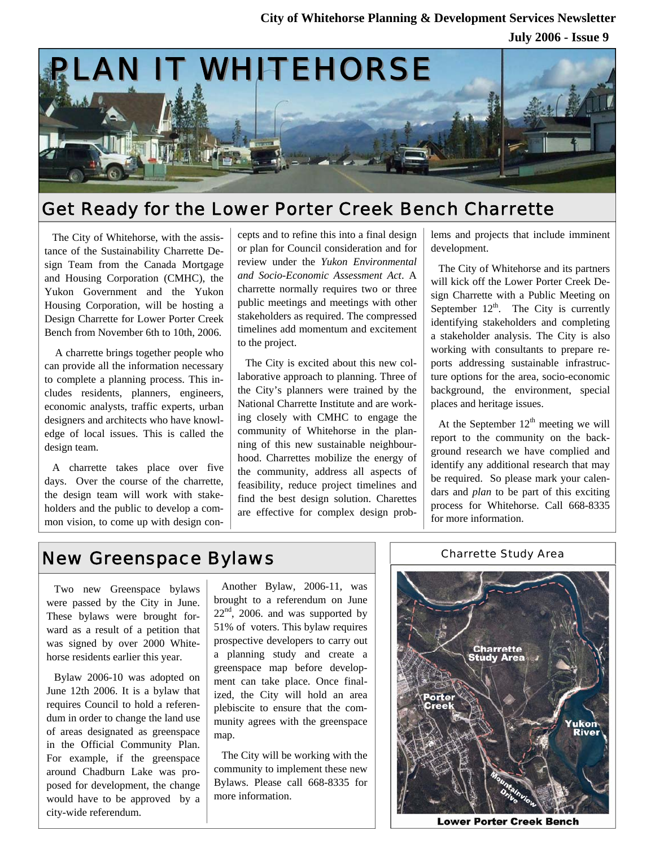

## Get Ready for the Lower Porter Creek Bench Charrette

The City of Whitehorse, with the assistance of the Sustainability Charrette Design Team from the Canada Mortgage and Housing Corporation (CMHC), the Yukon Government and the Yukon Housing Corporation, will be hosting a Design Charrette for Lower Porter Creek Bench from November 6th to 10th, 2006.

 A charrette brings together people who can provide all the information necessary to complete a planning process. This includes residents, planners, engineers, economic analysts, traffic experts, urban designers and architects who have knowledge of local issues. This is called the design team.

A charrette takes place over five days. Over the course of the charrette, the design team will work with stakeholders and the public to develop a common vision, to come up with design con-

cepts and to refine this into a final design or plan for Council consideration and for review under the *Yukon Environmental and Socio-Economic Assessment Act*. A charrette normally requires two or three public meetings and meetings with other stakeholders as required. The compressed timelines add momentum and excitement to the project.

The City is excited about this new collaborative approach to planning. Three of the City's planners were trained by the National Charrette Institute and are working closely with CMHC to engage the community of Whitehorse in the planning of this new sustainable neighbourhood. Charrettes mobilize the energy of the community, address all aspects of feasibility, reduce project timelines and find the best design solution. Charettes are effective for complex design problems and projects that include imminent development.

The City of Whitehorse and its partners will kick off the Lower Porter Creek Design Charrette with a Public Meeting on September  $12<sup>th</sup>$ . The City is currently identifying stakeholders and completing a stakeholder analysis. The City is also working with consultants to prepare reports addressing sustainable infrastructure options for the area, socio-economic background, the environment, special places and heritage issues.

At the September  $12<sup>th</sup>$  meeting we will report to the community on the background research we have complied and identify any additional research that may be required. So please mark your calendars and *plan* to be part of this exciting process for Whitehorse. Call 668-8335 for more information.

## New Greenspace Bylaws

Two new Greenspace bylaws were passed by the City in June. These bylaws were brought forward as a result of a petition that was signed by over 2000 Whitehorse residents earlier this year.

Bylaw 2006-10 was adopted on June 12th 2006. It is a bylaw that requires Council to hold a referendum in order to change the land use of areas designated as greenspace in the Official Community Plan. For example, if the greenspace around Chadburn Lake was proposed for development, the change would have to be approved by a city-wide referendum.

Another Bylaw, 2006-11, was brought to a referendum on June  $22<sup>nd</sup>$ , 2006. and was supported by 51% of voters. This bylaw requires prospective developers to carry out a planning study and create a greenspace map before development can take place. Once finalized, the City will hold an area plebiscite to ensure that the community agrees with the greenspace map.

The City will be working with the community to implement these new Bylaws. Please call 668-8335 for more information.



Charrette Study Area

**Lower Porter Creek Bench**